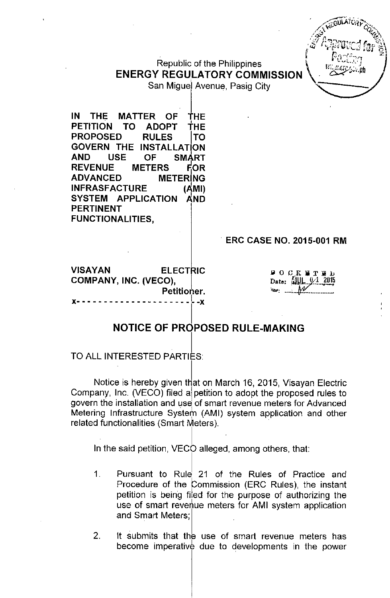ENERGY Republic of the Philippines<br>**ENERGY REGULATORY COMMISSION** 



San Miguel Avenue, Pasig City .

IN THE MATTER OF THE  $\blacksquare$ PETITION TO ADOPT THE PROPOSED RULES ITO GOVERN THE INSTAllATION AND USE OF SM4RT REVENUE METERS FOR ADVANCED METERING INFRASFACTURE (AMI) SYSTEM APPLICATION AND PERTINENT FUNCTIONALITIES,

# ERC CASE NO. 2015-001 RM

VISAYAN ELECTRIC COMPANY, INC, (VECO), Petitioner. J(- - - - - - - - - - - - - - - - - - - \_\_ l-J(

 $900$ K W T M  $b$  $\text{Date:}$   $\left[\frac{1}{2}\right]$  $\sim$   $\mathcal{N}$ 

# NOTICE OF PROPOSED RULE-MAKING

## TO ALL INTERESTED PARTIES:

. In the contract of the contract of the contract of the contract of the contract of the contract of the contract of

Notice is hereby given that on March 16, 2015, Visayan Electric Company, Inc. (VECO) filed al petition to adopt the proposed rules to govern the installation and use of smart revenue meters for Advanced Metering Infrastructure System (AMI) system application and other related functionalities (Smart Meters).

In the said petition, VECO alleged, among others, that:

- 1. Pursuant to Rule 21 of the Rules of Practice and Procedure of the Commission (ERC Rules), the instant petition is being filed for the purpose of authorizing the use of smart revenue meters for AMI system application and Smart Meters;
- 2. It submits that the use of smart revenue meters has become imperative due to developments in the power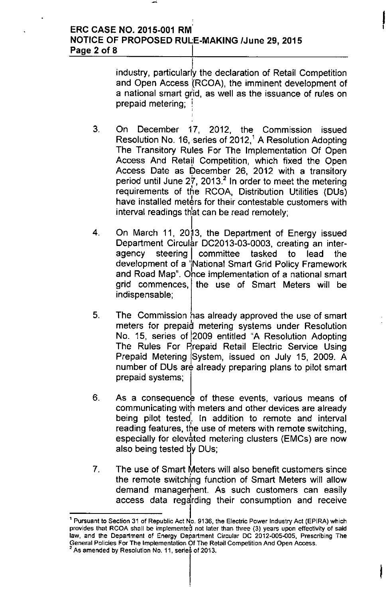# ERC CASE NO. 2015-001 RM' NOTICE OF PROPOSED RULE-MAKING IJune 29, 2015 Page 2 of 8

industry, particularly the declaration of Retail Competition and Open Access (RCOA), the imminent development of a national smart grid, as well as the issuance of rules on prepaid metering; ;<br>; ,<br>ו

**,** 

I

- 3, On December 17, 2012, the Commission issued Resolution No. 16, series of 2012,<sup>1</sup> A Resolution Adopting The Transitory Rules For The Implementation Of Open Access And Retail , Competition, which fixed the Open Access Date as December 26, 2012 with a transitory period until June 27, 2013.<sup>2</sup> In order to meet the metering requirements of the RCOA, Distribution Utilities (DUs) have installed meters for their contestable customers with interval readings th'at can be read remotely;
- 4, On March 11, 2013, the Department of Energy issued Department Circular DC2013-03-0003, creating an interagency steering | committee tasked to lead the development of a 'Mational Smart Grid Policy Framework and Road Map", Once implementation of a national smart grid commences, the use of Smart Meters will be indispensable;
- 5, The Commission has already approved the use of smart meters for prepaid metering systems under Resolution No, 15, series of 12009 entitled "A Resolution Adopting The Rules For Prepaid Retail Electric Service Using Prepaid Metering System, issued on July 15, 2009. A number of DUs are already preparing plans to pilot smart prepaid systems;
- 6. As a consequence of these events, various means of communicating with meters and other devices are already , being pilot tested<sub>;</sub> In addition to remote and interval reading features, the use of meters with remote switching, especially for elevated metering clusters (EMCs) are now also being tested by DUs;
- l. 7. The use of Smart Meters will also benefit customers since the remote switching function of Smart Meters will allow demand management. As such customers can easily access data regdrding their consumption and receive

I 1 Pursuant to Section 31 of Republic Act No. 9136, the Electric Power Industry Act (EPIRA) which provides that RCOA shall be implemented not later than three (3) years upon effectivity of said law, and the Department of Energy Department Circular DC 2012-005-005, Prescribing The General Policies For The Implementation Of The Retail Competition And Open Access.

As amended by Resolution No. 11, series of 2013.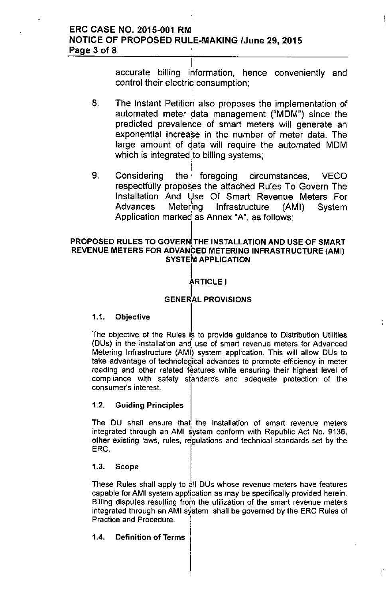# ERC CASE NO. 2015-001 RM **NOTICE OF PROPOSED RULE-MAKING /June 29, 2015** Page 3 of 8 :

I accurate billing information, hence conveniently and control their electric consumption;

ľ

- 8. The instant Petition also proposes the implementation of automated meter data management ("MDM") since the predicted prevalence of smart meters will generate an exponential increase in the number of meter data. The large amount of data will require the automated MDM which is integrated to billing systems; i
- I 9. Considering the' foregoing circumstances, VECO respectfully proposes the attached Rules To Govern The Installation And Use Of Smart Revenue Meters For Advances Metering Infrastructure (AMI) System Application marked as Annex "A", as follows:

## PROPOSED RULES TO GOVERN THE INSTALLATION AND USE OF SMART REVENUE METERS FOR ADVANCED METERING INFRASTRUCTURE (AMI) SYSTEM APPLICATION

### I ARTICLE I

# **GENERAL PROVISIONS**

# 1.1. Objective

The objective of the Rules is to provide quidance to Distribution Utilities (DUs) in the installation and use of smart revenue meters for Advanced Metering Infrastructure (AMI) system application. This will allow DUs to take advantage of technological advances to promote efficiency in meter reading and other related features while ensuring their highest level of compliance with safety standards and adequate protection of the **consumer's interest.**

# 1.2. Guiding Principles

The DU shall ensure that the installation of smart revenue meters integrated through an AMI system conform with Republic Act No. 9136, other existing laws, rules, rdgulations and technical standards set by the ERG.

## 1.3. Scope

These Rules shall apply to all DUs whose revenue meters have features capable for AMI system application as may be specifically provided herein. **Billing disputes resulting frot" the utilization of the smart revenue meters** integrated through an AMI system shall be governed by the ERC Rules of Practice and Procedure.

# 1.4. Definition of Terms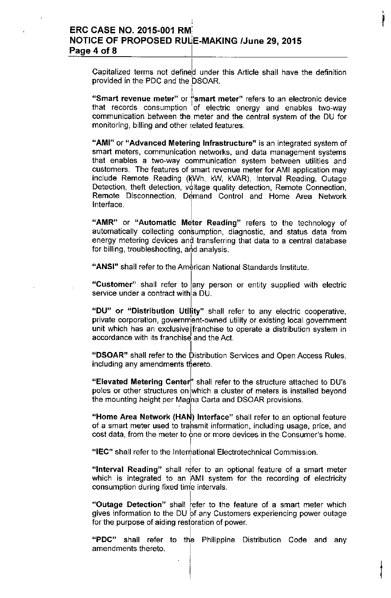# ERC CASE NO. 2015-001 RM' NOTICE OF PROPOSED RUIJE-MAKING *IJune* 29, 2015 Page 4 of 8

I

Capitalized terms not defined under this Article shall have the definition provided in the PDC and the DSOAR. ,

"Smart revenue meter" or "smart meter" refers to an electronic device that records consumption of electric energy and enables two-way communication between the meter and the central system of the DU for monitoring, billing and other related features.

"AMI" or "Advanced Metering Infrastructure" is an integrated system of smart meters, communication networks, and data management systems that enables a two-way communication system between utilities and customers. The features of smart revenue meter for AMI application may include Remote Reading (KWh, kW, kVAR), Interval Reading, Outage Detection, theft detection, voltage quality detection, Remote Connection, Remote Disconnection, Demand Control and Home Area Network Interface.

"AMR" or "Automatic Meter Reading" refers to the technology of automatically collecting consumption, diagnostic, and status data from energy metering devices and transferring that data to a central database for billing, troubleshooting, and analysis.

"ANSI" shall refer to the American National Standards Institute.

"Customer" shall refer to any person or entity supplied with electric service under a contract With 8 DU.

l "DU" or "Distribution Utility" shall refer to any electric cooperative, private corporation, government-owned utility or existing local government unit which has an exclusivejfranchise to operate a distribution system in accordance with its franchise and the Act.

"DSOAR" shall refer to the Distribution Services and Open Access Rules, including any amendments thereto.

"Elevated Metering Center" shall refer to the structure attached to DU's poles or other structures on which a cluster of meters is installed beyond the mounting height per Magna Carta and DSOAR provisions. ,  $\mathbb{I}$ 

"Home Area Network (HAN) Interface" shall refer to an optional feature of a smart meter used to trahsmit information, including usage, price, and cost data, from the meter to one or more devices in the Consumer's home.

"IEC" shall refer to the Intermational Electrotechnical Commission.

"Interval Reading" shall refer to an optional feature of a smart meter which is integrated to an AMI system for the recording of electricity consumption during fixed time intervals.

"Outage Detection" shall refer to the feature of a smart meter which gives information to the DU of any Customers experiencing power outage for the purpose of aiding restoration of power.

"PDC" shall refer to the Philippine Distribution Code and any amendments thereto.

|<br>|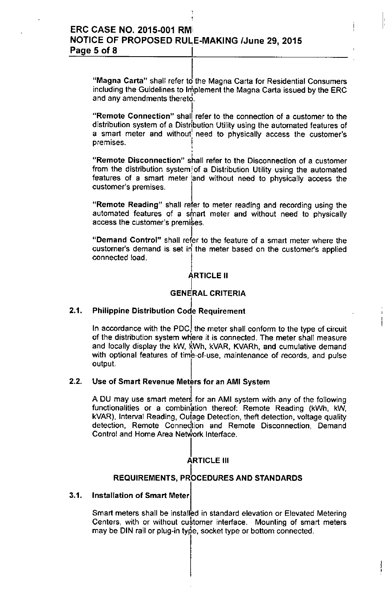;

"Magna Carta" shall refer to the Magna Carta for Residential Consumers including the Guidelines to Implement the Magna Carta issued by the ERC  $\,$ and any amendments thereto.

I:

I **"Remote Connection" shall refer to the connection of a customer to the** distribution system of a Distribution Utility using the automated features of a smart meter and without' need to physically access the customer's premises.

**"Remote Disconnection" shall refer to the Disconnection of a customer** from the distribution system 'of a Distribution Utility using the automated features of a smart meter 'and without need to physically access the **customer's premises.**

"Remote Reading" shall refer to meter reading and recording using the automated features of a smart meter and without need to physically **access the customer's premises.** 

I "Demand Control" shall refer to the feature of a smart meter where the customer's demand is set in the meter based on the customer's applied connected load.

# ÁRTICLE II

## GENERAL CRITERIA

#### I 2.1. Philippine Distribution Code Requiremen

In accordance with the PDC, the meter shall conform to the type of circuit of the distribution system wtlere it is connected. The meter shall measure and locally display the kW, kWh, kVAR, KVARh, and cumulative demand with optional features of time-of-use, maintenance of records, and pulse output.

## 2.2. Use of Smart Revenue Meters for an AMI System

A DU may use smart meters for an AMI system with any of the following functionalities or a combination thereof: Remote Reading (kWh, kW, kVAR), Interval Reading, Outage Detection, theft detection, voltage quality **detection, Remote Connedtion and Remote Disconnection, Demand** Control and Home Area Network Interface.

### I ARTICLE III

# REQUIREMENTS, PROCEDURES AND STANDARDS

## 3.1. Installation of Smart Meter

Smart meters shall be installed in standard elevation or Elevated Metering Centers, with or without customer interface. Mounting of smart meters may be DIN rail or plug-in type, socket type or bottom connected.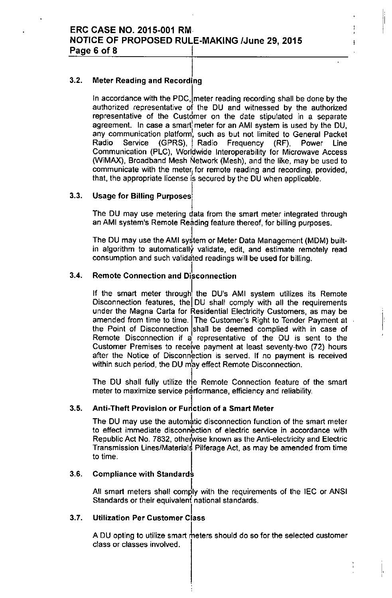#### I 3.2. Meter Reading and Recording

In accordance with the PDC, meter reading recording shall be done by the authorized representative of the DU and witnessed by the authorized representative of the Custdmer on the date stipulated in a separate agreement. In case a smart meter for an AMI system is used by the DU, any communication platform, such as but not limited to General Packet Radio Service (GPRS), Radio Frequency (RF), Power Line Communication (PLC), Worldwide Interoperability for Microwave Access (WiMAX), Broadband Mesh Network (Mesh), and the like, may be used to communicate with the meter;for remote reading and recording, provided, that, the appropriate license is secured by the DU when applicable.

#### 3.3. Usage for Billing Purposes

The DU may use metering data from the smart meter integrated through an AMI system's Remote Reading feature thereof, for billing purposes.

The DU may use the AMI system or Meter Data Management (MDM) builtin algorithm to automaticaily validate, edit, and estimate remotely read consumption and such validated readings wiil be used for biiling.

#### 3.4. **Remote Connection and Disconnection**

If the smart meter through the DU's AMI system utilizes its Remote Disconnection features, the DU shall comply with all the requirements under the Magna Carta for Residential Electricity Customers, as may be amended from time to time. The Customer's Right to Tender Payment at the Point of Disconnection shall be deemed complied with in case of Remote Disconnection if a representative of the DU is sent to the Customer Premises to receive payment at least seventy-two (72) hours after the Notice of Disconnection is served. If no payment is received within such period, the DU may effect Remote Disconnection.

 $\mathbf{I}^{\mathbf{r}}$ 

j

I.,

The DU shall fully utilize the Remote Connection feature of the smart **meter** to maximize service performance, efficiency and reliability.

#### 3.5. Anti-Theft Provision or Function of a Smart Meter

The DU may use the automatic disconnection function of the smart meter **to effect immediate disconnection of electric service in accordance with** Republic Act No. 7832, otherwise known as the Anti-electricity and Electric Transmission Lines/Materials PilferageAct, as may be amended from time to time.

## 3.6. Compliance with Standards

All smart meters shall comply with the requirements of the IEC or ANSI **Standards or their equivalent national standards.**

### I 3.7. Utilization Per Customer Class

A DU opting to utilize smart meters should do so for the selected customer **class or classes involved.**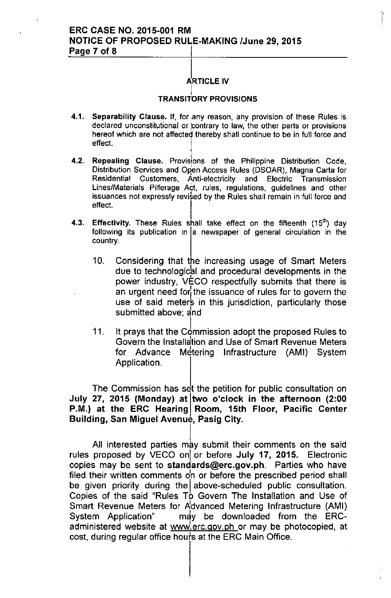# ERC CASE NO. 2015-001 RM NOTICE OF PROPOSED RULE-MAKING IJune 29,2015 Page 7 of 8

#### **ARTICLE IV** i

I

÷,

#### į. TRANSITORY PROVISIONS

- 4.1. Separability Clause. If, for any reason, any provision of these Rules is  $\alpha$  declared unconstitutional or  $\alpha$  contrary to law, the other parts or provisions hereof which are not affected thereby shall continue to be in full force and effect.
- I 4.2. Repealing Clause. Provisions of the Philippine Distribution Code, Distribution Services and Open Access Rules (DSOAR), Magna Carta for Residential Customers, Anti-electricity and Electric Transmission Lines/Materials Pilferage Act, rules, regulations, guidelines and other issuances not expressly revised by the Rules shall remain in full force and effect.
- 4.3. Effectivity. These Rules shall take effect on the fifteenth  $(15<sup>th</sup>)$  day following its publication in  $|a|$  newspaper of general circulation in the country.
	- 10. Considering that the increasing usage of Smart Meters due to technological and procedural developments in the power industry, VECO respectfully submits that there is an urgent need for the issuance of rules for to govern the use of said meters in this jurisdiction, particularly those submitted above; and
	- 11. It prays that the Commission adopt the proposed Rules to Govern the Installation and Use of Smart Revenue Meters for Advance Metering Infrastructure (AMI) System Application.

The Commission has set the petition for public consultation on July 27, 2015 (Monday) at two o'clock in the afternoon (2:00 P.M.) at the ERC Hearing Room, 15th Floor, Pacific Center Building, San Miguel Avenue, Pasig City.

All interested parties may submit their comments on the said rules proposed by VECO on or before July 17, 2015. Electronic copies may be sent to [standards@erc.gov.ph.](mailto:standards@erc.gov.ph.) Parties who have filed their written comments  $\phi$ n or before the prescribed period shall be given priority during the above-scheduled public consultation. Copies of the said "Rules To Govern The Installation and Use of Smart Revenue Meters for Pidvanced Metering Infrastructure (AMI) System Application" may be downloaded from the ERCadministered website at www.erc.gov.ph or may be photocopied, at cost, during regular office hours at the ERC Main Office.